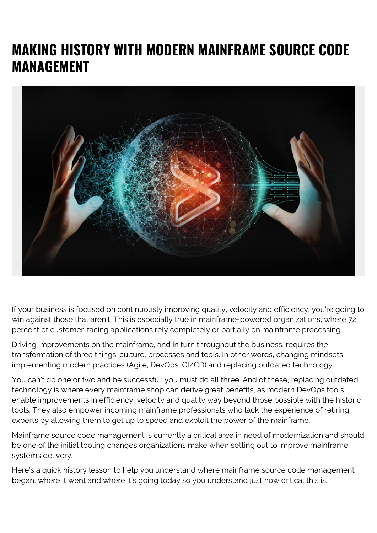## **MAKING HISTORY WITH MODERN MAINFRAME SOURCE CODE MANAGEMENT**



If your business is focused on continuously improving quality, velocity and efficiency, you're going to win against those that aren't. This is especially true in mainframe-powered organizations, where 72 percent of customer-facing applications rely completely or partially on mainframe processing.

Driving improvements on the mainframe, and in turn throughout the business, requires the transformation of three things: culture, processes and tools. In other words, changing mindsets, implementing modern practices (Agile, DevOps, CI/CD) and replacing outdated technology.

You can't do one or two and be successful; you must do all three. And of these, replacing outdated technology is where every mainframe shop can derive great benefits, as modern DevOps tools enable improvements in efficiency, velocity and quality way beyond those possible with the historic tools. They also empower incoming mainframe professionals who lack the experience of retiring experts by allowing them to get up to speed and exploit the power of the mainframe.

Mainframe source code management is currently a critical area in need of modernization and should be one of the initial tooling changes organizations make when setting out to improve mainframe systems delivery.

Here's a quick history lesson to help you understand where mainframe source code management began, where it went and where it's going today so you understand just how critical this is.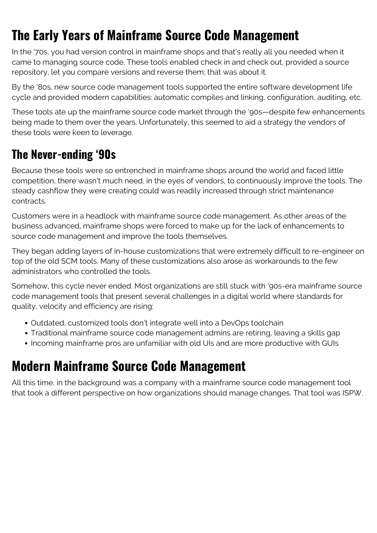## **The Early Years of Mainframe Source Code Management**

In the '70s, you had version control in mainframe shops and that's really all you needed when it came to managing source code. These tools enabled check in and check out, provided a source repository, let you compare versions and reverse them; that was about it.

By the '80s, new source code management tools supported the entire software development life cycle and provided modern capabilities: automatic compiles and linking, configuration, auditing, etc.

These tools ate up the mainframe source code market through the '90s—despite few enhancements being made to them over the years. Unfortunately, this seemed to aid a strategy the vendors of these tools were keen to leverage.

## **The Never-ending '90s**

Because these tools were so entrenched in mainframe shops around the world and faced little competition, there wasn't much need, in the eyes of vendors, to continuously improve the tools. The steady cashflow they were creating could was readily increased through strict maintenance contracts.

Customers were in a headlock with mainframe source code management. As other areas of the business advanced, mainframe shops were forced to make up for the lack of enhancements to source code management and improve the tools themselves.

They began adding layers of in-house customizations that were extremely difficult to re-engineer on top of the old SCM tools. Many of these customizations also arose as workarounds to the few administrators who controlled the tools.

Somehow, this cycle never ended. Most organizations are still stuck with '90s-era mainframe source code management tools that present several challenges in a digital world where standards for quality, velocity and efficiency are rising:

- Outdated, customized tools don't integrate well into a DevOps toolchain
- Traditional mainframe source code management admins are retiring, leaving a skills gap
- Incoming mainframe pros are unfamiliar with old UIs and are more productive with GUIs

## **Modern Mainframe Source Code Management**

All this time, in the background was a company with a mainframe source code management tool that took a different perspective on how organizations should manage changes. That tool was ISPW.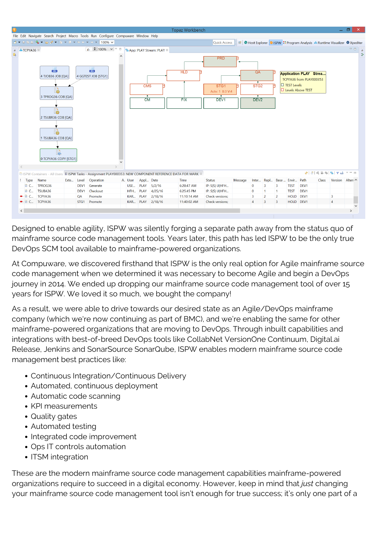

Designed to enable agility, ISPW was silently forging a separate path away from the status quo of mainframe source code management tools. Years later, this path has led ISPW to be the only true DevOps SCM tool available to mainframe-powered organizations.

At Compuware, we discovered firsthand that ISPW is the only real option for Agile mainframe source code management when we determined it was necessary to become Agile and begin a DevOps journey in 2014. We ended up dropping our mainframe source code management tool of over 15 years for ISPW. We loved it so much, we bought the company!

As a result, we were able to drive towards our desired state as an Agile/DevOps mainframe company (which we're now continuing as part of BMC), and we're enabling the same for other mainframe-powered organizations that are moving to DevOps. Through inbuilt capabilities and integrations with best-of-breed DevOps tools like CollabNet VersionOne Continuum, Digital.ai Release, Jenkins and SonarSource SonarQube, ISPW enables modern mainframe source code management best practices like:

- Continuous Integration/Continuous Delivery
- Automated, continuous deployment
- Automatic code scanning
- KPI measurements
- Quality gates
- Automated testing
- Integrated code improvement
- Ops IT controls automation
- ITSM integration

These are the modern mainframe source code management capabilities mainframe-powered organizations require to succeed in a digital economy. However, keep in mind that *just* changing your mainframe source code management tool isn't enough for true success; it's only one part of a